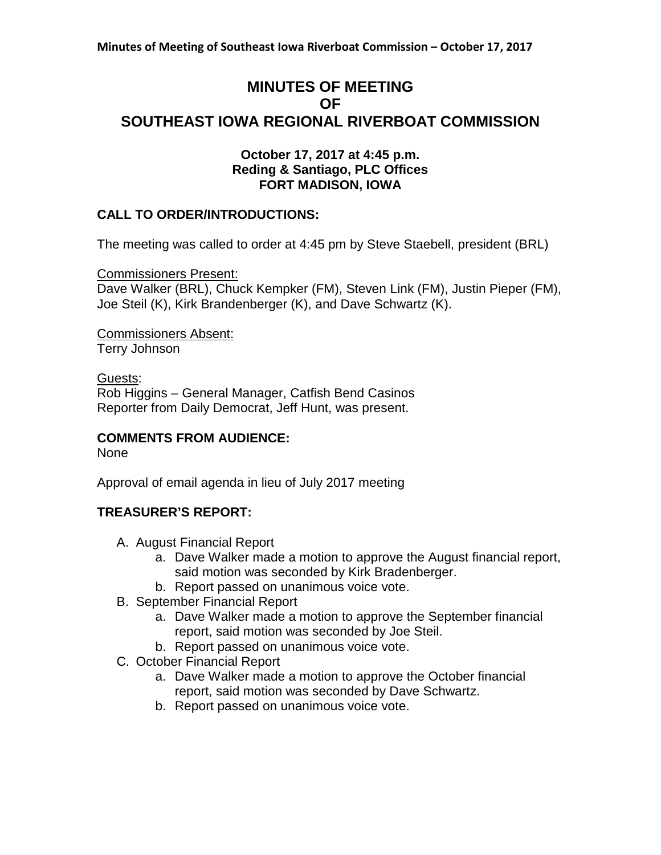# **MINUTES OF MEETING OF SOUTHEAST IOWA REGIONAL RIVERBOAT COMMISSION**

#### **October 17, 2017 at 4:45 p.m. Reding & Santiago, PLC Offices FORT MADISON, IOWA**

### **CALL TO ORDER/INTRODUCTIONS:**

The meeting was called to order at 4:45 pm by Steve Staebell, president (BRL)

Commissioners Present:

Dave Walker (BRL), Chuck Kempker (FM), Steven Link (FM), Justin Pieper (FM), Joe Steil (K), Kirk Brandenberger (K), and Dave Schwartz (K).

Commissioners Absent: Terry Johnson

Guests:

Rob Higgins – General Manager, Catfish Bend Casinos Reporter from Daily Democrat, Jeff Hunt, was present.

### **COMMENTS FROM AUDIENCE:**

None

Approval of email agenda in lieu of July 2017 meeting

### **TREASURER'S REPORT:**

- A. August Financial Report
	- a. Dave Walker made a motion to approve the August financial report, said motion was seconded by Kirk Bradenberger.
	- b. Report passed on unanimous voice vote.
- B. September Financial Report
	- a. Dave Walker made a motion to approve the September financial report, said motion was seconded by Joe Steil.
	- b. Report passed on unanimous voice vote.
- C. October Financial Report
	- a. Dave Walker made a motion to approve the October financial report, said motion was seconded by Dave Schwartz.
	- b. Report passed on unanimous voice vote.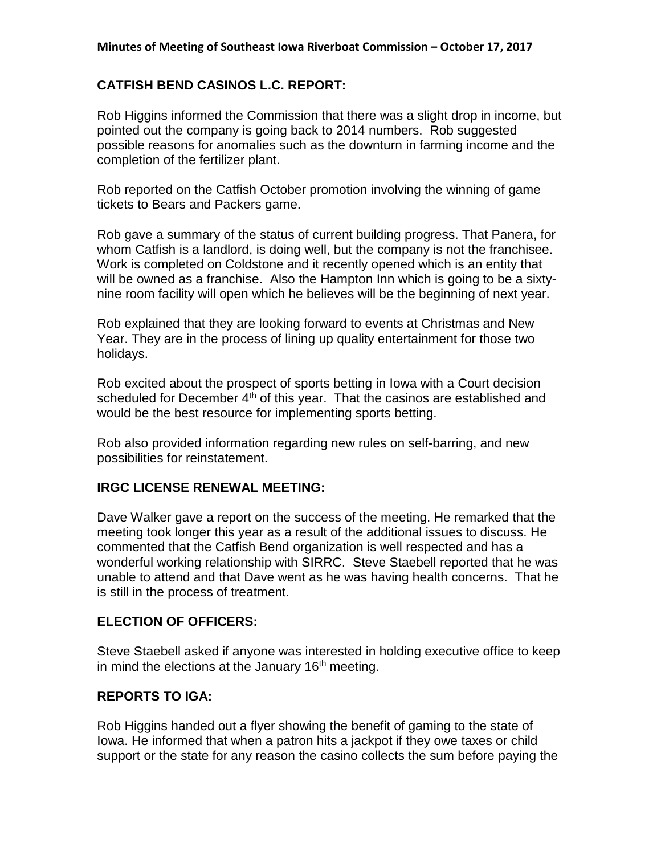## **CATFISH BEND CASINOS L.C. REPORT:**

Rob Higgins informed the Commission that there was a slight drop in income, but pointed out the company is going back to 2014 numbers. Rob suggested possible reasons for anomalies such as the downturn in farming income and the completion of the fertilizer plant.

Rob reported on the Catfish October promotion involving the winning of game tickets to Bears and Packers game.

Rob gave a summary of the status of current building progress. That Panera, for whom Catfish is a landlord, is doing well, but the company is not the franchisee. Work is completed on Coldstone and it recently opened which is an entity that will be owned as a franchise. Also the Hampton Inn which is going to be a sixtynine room facility will open which he believes will be the beginning of next year.

Rob explained that they are looking forward to events at Christmas and New Year. They are in the process of lining up quality entertainment for those two holidays.

Rob excited about the prospect of sports betting in Iowa with a Court decision scheduled for December  $4<sup>th</sup>$  of this year. That the casinos are established and would be the best resource for implementing sports betting.

Rob also provided information regarding new rules on self-barring, and new possibilities for reinstatement.

## **IRGC LICENSE RENEWAL MEETING:**

Dave Walker gave a report on the success of the meeting. He remarked that the meeting took longer this year as a result of the additional issues to discuss. He commented that the Catfish Bend organization is well respected and has a wonderful working relationship with SIRRC. Steve Staebell reported that he was unable to attend and that Dave went as he was having health concerns. That he is still in the process of treatment.

### **ELECTION OF OFFICERS:**

Steve Staebell asked if anyone was interested in holding executive office to keep in mind the elections at the January 16<sup>th</sup> meeting.

### **REPORTS TO IGA:**

Rob Higgins handed out a flyer showing the benefit of gaming to the state of Iowa. He informed that when a patron hits a jackpot if they owe taxes or child support or the state for any reason the casino collects the sum before paying the